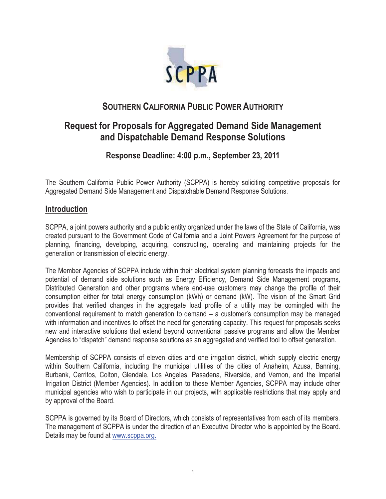

# **SOUTHERN CALIFORNIA PUBLIC POWER AUTHORITY**

# **Request for Proposals for Aggregated Demand Side Management and Dispatchable Demand Response Solutions**

# **Response Deadline: 4:00 p.m., September 23, 2011**

The Southern California Public Power Authority (SCPPA) is hereby soliciting competitive proposals for Aggregated Demand Side Management and Dispatchable Demand Response Solutions.

#### **Introduction**

SCPPA, a joint powers authority and a public entity organized under the laws of the State of California, was created pursuant to the Government Code of California and a Joint Powers Agreement for the purpose of planning, financing, developing, acquiring, constructing, operating and maintaining projects for the generation or transmission of electric energy.

The Member Agencies of SCPPA include within their electrical system planning forecasts the impacts and potential of demand side solutions such as Energy Efficiency, Demand Side Management programs, Distributed Generation and other programs where end-use customers may change the profile of their consumption either for total energy consumption (kWh) or demand (kW). The vision of the Smart Grid provides that verified changes in the aggregate load profile of a utility may be comingled with the conventional requirement to match generation to demand – a customer's consumption may be managed with information and incentives to offset the need for generating capacity. This request for proposals seeks new and interactive solutions that extend beyond conventional passive programs and allow the Member Agencies to "dispatch" demand response solutions as an aggregated and verified tool to offset generation.

Membership of SCPPA consists of eleven cities and one irrigation district, which supply electric energy within Southern California, including the municipal utilities of the cities of Anaheim, Azusa, Banning, Burbank, Cerritos, Colton, Glendale, Los Angeles, Pasadena, Riverside, and Vernon, and the Imperial Irrigation District (Member Agencies). In addition to these Member Agencies, SCPPA may include other municipal agencies who wish to participate in our projects, with applicable restrictions that may apply and by approval of the Board.

SCPPA is governed by its Board of Directors, which consists of representatives from each of its members. The management of SCPPA is under the direction of an Executive Director who is appointed by the Board. Details may be found at www.scppa.org.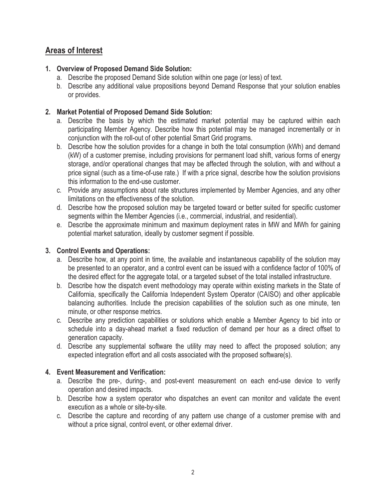# **Areas of Interest**

#### **1. Overview of Proposed Demand Side Solution:**

- a. Describe the proposed Demand Side solution within one page (or less) of text.
- b. Describe any additional value propositions beyond Demand Response that your solution enables or provides.

#### **2. Market Potential of Proposed Demand Side Solution:**

- a. Describe the basis by which the estimated market potential may be captured within each participating Member Agency. Describe how this potential may be managed incrementally or in conjunction with the roll-out of other potential Smart Grid programs.
- b. Describe how the solution provides for a change in both the total consumption (kWh) and demand (kW) of a customer premise, including provisions for permanent load shift, various forms of energy storage, and/or operational changes that may be affected through the solution, with and without a price signal (such as a time-of-use rate.) If with a price signal, describe how the solution provisions this information to the end-use customer.
- c. Provide any assumptions about rate structures implemented by Member Agencies, and any other limitations on the effectiveness of the solution.
- d. Describe how the proposed solution may be targeted toward or better suited for specific customer segments within the Member Agencies (i.e., commercial, industrial, and residential).
- e. Describe the approximate minimum and maximum deployment rates in MW and MWh for gaining potential market saturation, ideally by customer segment if possible.

#### **3. Control Events and Operations:**

- a. Describe how, at any point in time, the available and instantaneous capability of the solution may be presented to an operator, and a control event can be issued with a confidence factor of 100% of the desired effect for the aggregate total, or a targeted subset of the total installed infrastructure.
- b. Describe how the dispatch event methodology may operate within existing markets in the State of California, specifically the California Independent System Operator (CAISO) and other applicable balancing authorities. Include the precision capabilities of the solution such as one minute, ten minute, or other response metrics.
- c. Describe any prediction capabilities or solutions which enable a Member Agency to bid into or schedule into a day-ahead market a fixed reduction of demand per hour as a direct offset to generation capacity.
- d. Describe any supplemental software the utility may need to affect the proposed solution; any expected integration effort and all costs associated with the proposed software(s).

#### **4. Event Measurement and Verification:**

- a. Describe the pre-, during-, and post-event measurement on each end-use device to verify operation and desired impacts.
- b. Describe how a system operator who dispatches an event can monitor and validate the event execution as a whole or site-by-site.
- c. Describe the capture and recording of any pattern use change of a customer premise with and without a price signal, control event, or other external driver.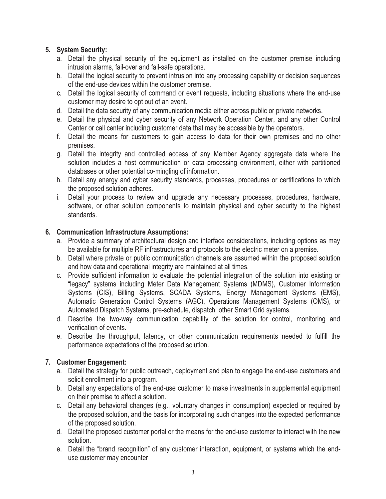#### **5. System Security:**

- a. Detail the physical security of the equipment as installed on the customer premise including intrusion alarms, fail-over and fail-safe operations.
- b. Detail the logical security to prevent intrusion into any processing capability or decision sequences of the end-use devices within the customer premise.
- c. Detail the logical security of command or event requests, including situations where the end-use customer may desire to opt out of an event.
- d. Detail the data security of any communication media either across public or private networks.
- e. Detail the physical and cyber security of any Network Operation Center, and any other Control Center or call center including customer data that may be accessible by the operators.
- f. Detail the means for customers to gain access to data for their own premises and no other premises.
- g. Detail the integrity and controlled access of any Member Agency aggregate data where the solution includes a host communication or data processing environment, either with partitioned databases or other potential co-mingling of information.
- h. Detail any energy and cyber security standards, processes, procedures or certifications to which the proposed solution adheres.
- i. Detail your process to review and upgrade any necessary processes, procedures, hardware, software, or other solution components to maintain physical and cyber security to the highest standards.

#### **6. Communication Infrastructure Assumptions:**

- a. Provide a summary of architectural design and interface considerations, including options as may be available for multiple RF infrastructures and protocols to the electric meter on a premise.
- b. Detail where private or public communication channels are assumed within the proposed solution and how data and operational integrity are maintained at all times.
- c. Provide sufficient information to evaluate the potential integration of the solution into existing or "legacy" systems including Meter Data Management Systems (MDMS), Customer Information Systems (CIS), Billing Systems, SCADA Systems, Energy Management Systems (EMS), Automatic Generation Control Systems (AGC), Operations Management Systems (OMS), or Automated Dispatch Systems, pre-schedule, dispatch, other Smart Grid systems.
- d. Describe the two-way communication capability of the solution for control, monitoring and verification of events.
- e. Describe the throughput, latency, or other communication requirements needed to fulfill the performance expectations of the proposed solution.

#### **7. Customer Engagement:**

- a. Detail the strategy for public outreach, deployment and plan to engage the end-use customers and solicit enrollment into a program.
- b. Detail any expectations of the end-use customer to make investments in supplemental equipment on their premise to affect a solution.
- c. Detail any behavioral changes (e.g., voluntary changes in consumption) expected or required by the proposed solution, and the basis for incorporating such changes into the expected performance of the proposed solution.
- d. Detail the proposed customer portal or the means for the end-use customer to interact with the new solution.
- e. Detail the "brand recognition" of any customer interaction, equipment, or systems which the enduse customer may encounter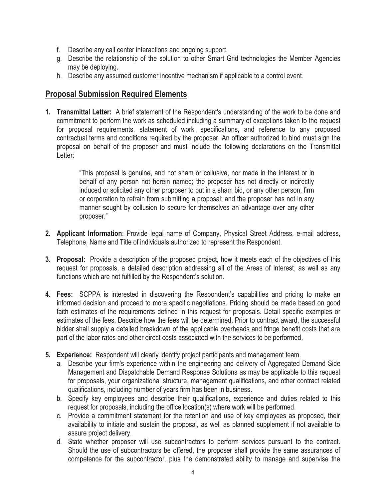- f. Describe any call center interactions and ongoing support.
- g. Describe the relationship of the solution to other Smart Grid technologies the Member Agencies may be deploying.
- h. Describe any assumed customer incentive mechanism if applicable to a control event.

## **Proposal Submission Required Elements**

**1. Transmittal Letter:** A brief statement of the Respondent's understanding of the work to be done and commitment to perform the work as scheduled including a summary of exceptions taken to the request for proposal requirements, statement of work, specifications, and reference to any proposed contractual terms and conditions required by the proposer. An officer authorized to bind must sign the proposal on behalf of the proposer and must include the following declarations on the Transmittal Letter:

> "This proposal is genuine, and not sham or collusive, nor made in the interest or in behalf of any person not herein named; the proposer has not directly or indirectly induced or solicited any other proposer to put in a sham bid, or any other person, firm or corporation to refrain from submitting a proposal; and the proposer has not in any manner sought by collusion to secure for themselves an advantage over any other proposer."

- **2. Applicant Information**: Provide legal name of Company, Physical Street Address, e-mail address, Telephone, Name and Title of individuals authorized to represent the Respondent.
- **3. Proposal:** Provide a description of the proposed project, how it meets each of the objectives of this request for proposals, a detailed description addressing all of the Areas of Interest, as well as any functions which are not fulfilled by the Respondent's solution.
- **4. Fees:** SCPPA is interested in discovering the Respondent's capabilities and pricing to make an informed decision and proceed to more specific negotiations. Pricing should be made based on good faith estimates of the requirements defined in this request for proposals. Detail specific examples or estimates of the fees. Describe how the fees will be determined. Prior to contract award, the successful bidder shall supply a detailed breakdown of the applicable overheads and fringe benefit costs that are part of the labor rates and other direct costs associated with the services to be performed.
- **5. Experience:** Respondent will clearly identify project participants and management team.
	- a. Describe your firm's experience within the engineering and delivery of Aggregated Demand Side Management and Dispatchable Demand Response Solutions as may be applicable to this request for proposals, your organizational structure, management qualifications, and other contract related qualifications, including number of years firm has been in business.
	- b. Specify key employees and describe their qualifications, experience and duties related to this request for proposals, including the office location(s) where work will be performed.
	- c. Provide a commitment statement for the retention and use of key employees as proposed, their availability to initiate and sustain the proposal, as well as planned supplement if not available to assure project delivery.
	- d. State whether proposer will use subcontractors to perform services pursuant to the contract. Should the use of subcontractors be offered, the proposer shall provide the same assurances of competence for the subcontractor, plus the demonstrated ability to manage and supervise the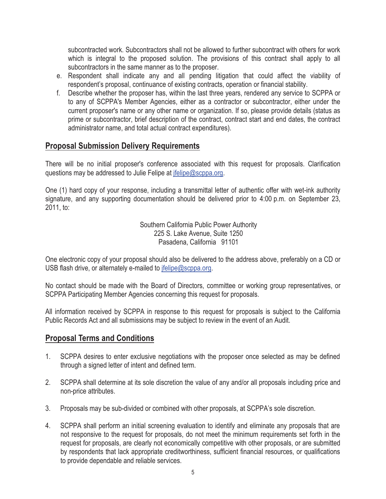subcontracted work. Subcontractors shall not be allowed to further subcontract with others for work which is integral to the proposed solution. The provisions of this contract shall apply to all subcontractors in the same manner as to the proposer.

- e. Respondent shall indicate any and all pending litigation that could affect the viability of respondent's proposal, continuance of existing contracts, operation or financial stability.
- f. Describe whether the proposer has, within the last three years, rendered any service to SCPPA or to any of SCPPA's Member Agencies, either as a contractor or subcontractor, either under the current proposer's name or any other name or organization. If so, please provide details (status as prime or subcontractor, brief description of the contract, contract start and end dates, the contract administrator name, and total actual contract expenditures).

### **Proposal Submission Delivery Requirements**

There will be no initial proposer's conference associated with this request for proposals. Clarification questions may be addressed to Julie Felipe at jfelipe@scppa.org.

One (1) hard copy of your response, including a transmittal letter of authentic offer with wet-ink authority signature, and any supporting documentation should be delivered prior to 4:00 p.m. on September 23, 2011, to:

> Southern California Public Power Authority 225 S. Lake Avenue, Suite 1250 Pasadena, California 91101

One electronic copy of your proposal should also be delivered to the address above, preferably on a CD or USB flash drive, or alternately e-mailed to jfelipe@scppa.org.

No contact should be made with the Board of Directors, committee or working group representatives, or SCPPA Participating Member Agencies concerning this request for proposals.

All information received by SCPPA in response to this request for proposals is subject to the California Public Records Act and all submissions may be subject to review in the event of an Audit.

### **Proposal Terms and Conditions**

- 1. SCPPA desires to enter exclusive negotiations with the proposer once selected as may be defined through a signed letter of intent and defined term.
- 2. SCPPA shall determine at its sole discretion the value of any and/or all proposals including price and non-price attributes.
- 3. Proposals may be sub-divided or combined with other proposals, at SCPPA's sole discretion.
- 4. SCPPA shall perform an initial screening evaluation to identify and eliminate any proposals that are not responsive to the request for proposals, do not meet the minimum requirements set forth in the request for proposals, are clearly not economically competitive with other proposals, or are submitted by respondents that lack appropriate creditworthiness, sufficient financial resources, or qualifications to provide dependable and reliable services.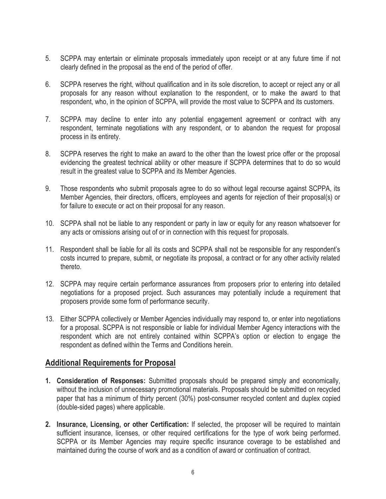- 5. SCPPA may entertain or eliminate proposals immediately upon receipt or at any future time if not clearly defined in the proposal as the end of the period of offer.
- 6. SCPPA reserves the right, without qualification and in its sole discretion, to accept or reject any or all proposals for any reason without explanation to the respondent, or to make the award to that respondent, who, in the opinion of SCPPA, will provide the most value to SCPPA and its customers.
- 7. SCPPA may decline to enter into any potential engagement agreement or contract with any respondent, terminate negotiations with any respondent, or to abandon the request for proposal process in its entirety.
- 8. SCPPA reserves the right to make an award to the other than the lowest price offer or the proposal evidencing the greatest technical ability or other measure if SCPPA determines that to do so would result in the greatest value to SCPPA and its Member Agencies.
- 9. Those respondents who submit proposals agree to do so without legal recourse against SCPPA, its Member Agencies, their directors, officers, employees and agents for rejection of their proposal(s) or for failure to execute or act on their proposal for any reason.
- 10. SCPPA shall not be liable to any respondent or party in law or equity for any reason whatsoever for any acts or omissions arising out of or in connection with this request for proposals.
- 11. Respondent shall be liable for all its costs and SCPPA shall not be responsible for any respondent's costs incurred to prepare, submit, or negotiate its proposal, a contract or for any other activity related thereto.
- 12. SCPPA may require certain performance assurances from proposers prior to entering into detailed negotiations for a proposed project. Such assurances may potentially include a requirement that proposers provide some form of performance security.
- 13. Either SCPPA collectively or Member Agencies individually may respond to, or enter into negotiations for a proposal. SCPPA is not responsible or liable for individual Member Agency interactions with the respondent which are not entirely contained within SCPPA's option or election to engage the respondent as defined within the Terms and Conditions herein.

## **Additional Requirements for Proposal**

- **1. Consideration of Responses:** Submitted proposals should be prepared simply and economically, without the inclusion of unnecessary promotional materials. Proposals should be submitted on recycled paper that has a minimum of thirty percent (30%) post-consumer recycled content and duplex copied (double-sided pages) where applicable.
- **2. Insurance, Licensing, or other Certification:** If selected, the proposer will be required to maintain sufficient insurance, licenses, or other required certifications for the type of work being performed. SCPPA or its Member Agencies may require specific insurance coverage to be established and maintained during the course of work and as a condition of award or continuation of contract.